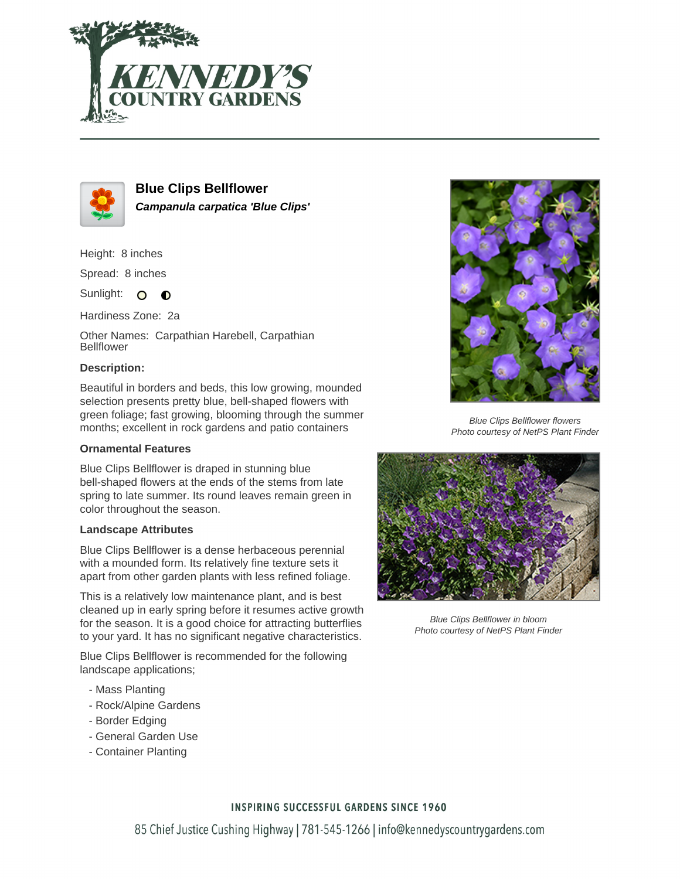



**Blue Clips Bellflower Campanula carpatica 'Blue Clips'**

Height: 8 inches

Spread: 8 inches

Sunlight: O **O** 

Hardiness Zone: 2a

Other Names: Carpathian Harebell, Carpathian Bellflower

## **Description:**

Beautiful in borders and beds, this low growing, mounded selection presents pretty blue, bell-shaped flowers with green foliage; fast growing, blooming through the summer months; excellent in rock gardens and patio containers

## **Ornamental Features**

Blue Clips Bellflower is draped in stunning blue bell-shaped flowers at the ends of the stems from late spring to late summer. Its round leaves remain green in color throughout the season.

## **Landscape Attributes**

Blue Clips Bellflower is a dense herbaceous perennial with a mounded form. Its relatively fine texture sets it apart from other garden plants with less refined foliage.

This is a relatively low maintenance plant, and is best cleaned up in early spring before it resumes active growth for the season. It is a good choice for attracting butterflies to your yard. It has no significant negative characteristics.

Blue Clips Bellflower is recommended for the following landscape applications;

- Mass Planting
- Rock/Alpine Gardens
- Border Edging
- General Garden Use
- Container Planting



Blue Clips Bellflower flowers Photo courtesy of NetPS Plant Finder



Blue Clips Bellflower in bloom Photo courtesy of NetPS Plant Finder

## **INSPIRING SUCCESSFUL GARDENS SINCE 1960**